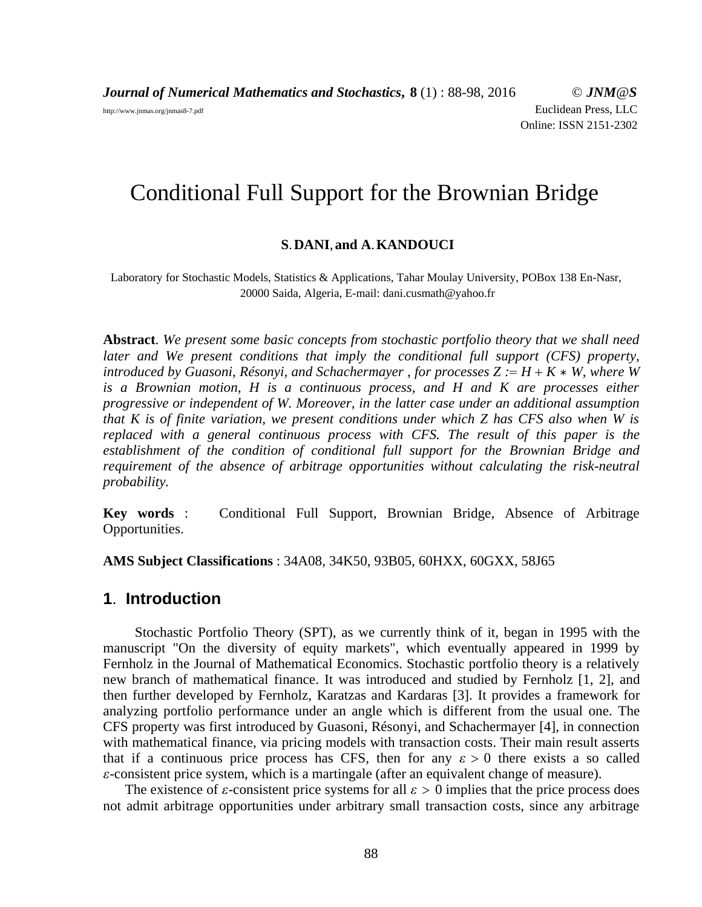*Journal of Numerical Mathematics and Stochastics***, 8** (1) : 88-98, 2016 © *JNM@S* http://www.jnmas.org/jnmas8-7.pdf Euclidean Press, LLC Online: ISSN 2151-2302

# Conditional Full Support for the Brownian Bridge

#### **S**.**DANI**,**and A**.**KANDOUCI**

Laboratory for Stochastic Models, Statistics & Applications, Tahar Moulay University, POBox 138 En-Nasr, 20000 Saida, Algeria, E-mail: dani.cusmath@yahoo.fr

**Abstract**. *We present some basic concepts from stochastic portfolio theory that we shall need later and We present conditions that imply the conditional full support (CFS) property, introduced by Guasoni, Résonyi, and Schachermayer, for processes*  $Z := H + K * W$ , where W *is a Brownian motion, H is a continuous process, and H and K are processes either progressive or independent of W. Moreover, in the latter case under an additional assumption that K is of finite variation, we present conditions under which Z has CFS also when W is replaced with a general continuous process with CFS. The result of this paper is the establishment of the condition of conditional full support for the Brownian Bridge and requirement of the absence of arbitrage opportunities without calculating the risk-neutral probability.*

**Key words** : Conditional Full Support, Brownian Bridge, Absence of Arbitrage Opportunities.

**AMS Subject Classifications** : 34A08, 34K50, 93B05, 60HXX, 60GXX, 58J65

#### **1**. **Introduction**

Stochastic Portfolio Theory (SPT), as we currently think of it, began in 1995 with the manuscript "On the diversity of equity markets", which eventually appeared in 1999 by Fernholz in the Journal of Mathematical Economics. Stochastic portfolio theory is a relatively new branch of mathematical finance. It was introduced and studied by Fernholz [1, 2], and then further developed by Fernholz, Karatzas and Kardaras [3]. It provides a framework for analyzing portfolio performance under an angle which is different from the usual one. The CFS property was first introduced by Guasoni, Résonyi, and Schachermayer [4], in connection with mathematical finance, via pricing models with transaction costs. Their main result asserts that if a continuous price process has CFS, then for any  $\varepsilon > 0$  there exists a so called  $\varepsilon$ -consistent price system, which is a martingale (after an equivalent change of measure).

The existence of  $\varepsilon$ -consistent price systems for all  $\varepsilon > 0$  implies that the price process does not admit arbitrage opportunities under arbitrary small transaction costs, since any arbitrage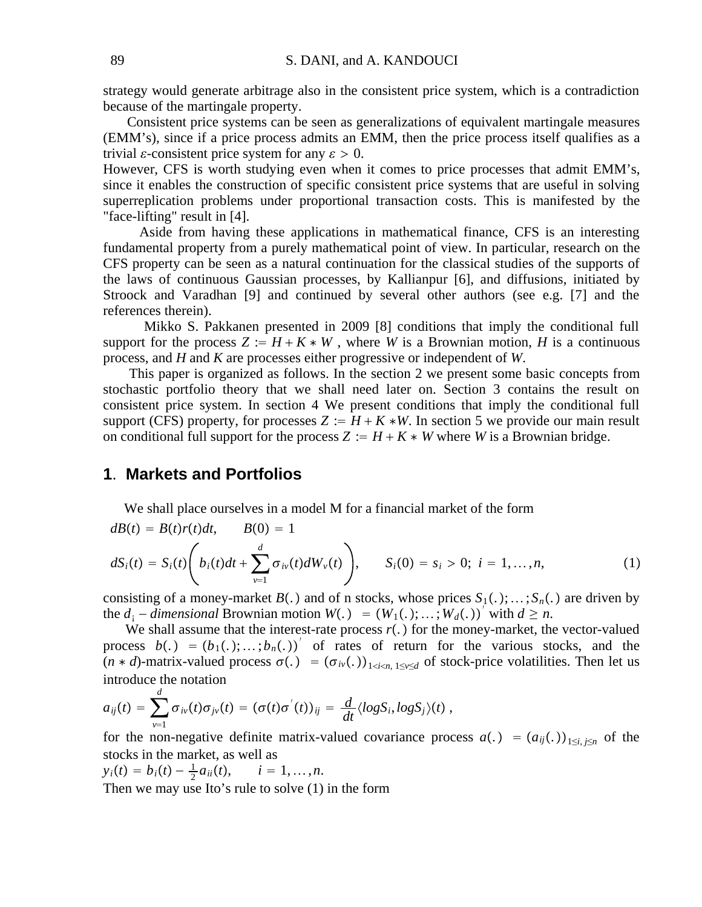strategy would generate arbitrage also in the consistent price system, which is a contradiction because of the martingale property.

Consistent price systems can be seen as generalizations of equivalent martingale measures (EMM's), since if a price process admits an EMM, then the price process itself qualifies as a trivial  $\varepsilon$ -consistent price system for any  $\varepsilon > 0$ .

However, CFS is worth studying even when it comes to price processes that admit EMM's, since it enables the construction of specific consistent price systems that are useful in solving superreplication problems under proportional transaction costs. This is manifested by the "face-lifting" result in [4].

Aside from having these applications in mathematical finance, CFS is an interesting fundamental property from a purely mathematical point of view. In particular, research on the CFS property can be seen as a natural continuation for the classical studies of the supports of the laws of continuous Gaussian processes, by Kallianpur [6], and diffusions, initiated by Stroock and Varadhan [9] and continued by several other authors (see e.g. [7] and the references therein).

Mikko S. Pakkanen presented in 2009 [8] conditions that imply the conditional full support for the process  $Z := H + K * W$ , where *W* is a Brownian motion, *H* is a continuous process, and *H* and *K* are processes either progressive or independent of *W*.

This paper is organized as follows. In the section 2 we present some basic concepts from stochastic portfolio theory that we shall need later on. Section 3 contains the result on consistent price system. In section 4 We present conditions that imply the conditional full support (CFS) property, for processes  $Z := H + K * W$ . In section 5 we provide our main result on conditional full support for the process  $Z := H + K * W$  where *W* is a Brownian bridge.

## **1**. **Markets and Portfolios**

We shall place ourselves in a model M for a financial market of the form

$$
dB(t) = B(t)r(t)dt, \qquad B(0) = 1
$$
  
\n
$$
dS_i(t) = S_i(t) \left( b_i(t)dt + \sum_{\nu=1}^d \sigma_{i\nu}(t)dW_{\nu}(t) \right), \qquad S_i(0) = s_i > 0; \quad i = 1, ..., n,
$$
\n(1)

consisting of a money-market  $B(.)$  and of n stocks, whose prices  $S_1(.); \ldots; S_n(.)$  are driven by the  $d_i$  – *dimensional* Brownian motion  $W(.) = (W_1(.); \ldots; W_d(.))^T$  with  $d \ge n$ .

We shall assume that the interest-rate process  $r(.)$  for the money-market, the vector-valued process  $b(.) = (b_1(.);...;b_n(.))'$  of rates of return for the various stocks, and the  $(n * d)$ -matrix-valued process  $\sigma(.) = (\sigma_{iv}(.))_{1 \le i \le n, 1 \le v \le d}$  of stock-price volatilities. Then let us introduce the notation

$$
a_{ij}(t) = \sum_{v=1}^{N} \sigma_{iv}(t) \sigma_{jv}(t) = (\sigma(t)\sigma'(t))_{ij} = \frac{d}{dt} \langle logS_i, logS_j \rangle(t) ,
$$

for the non-negative definite matrix-valued covariance process  $a(.) = (a_{ij}(.))_{1 \le i \le n}$  of the stocks in the market, as well as

 $y_i(t) = b_i(t) - \frac{1}{2}a_{ii}(t), \quad i = 1, ..., n.$ 

*d*

Then we may use Ito's rule to solve (1) in the form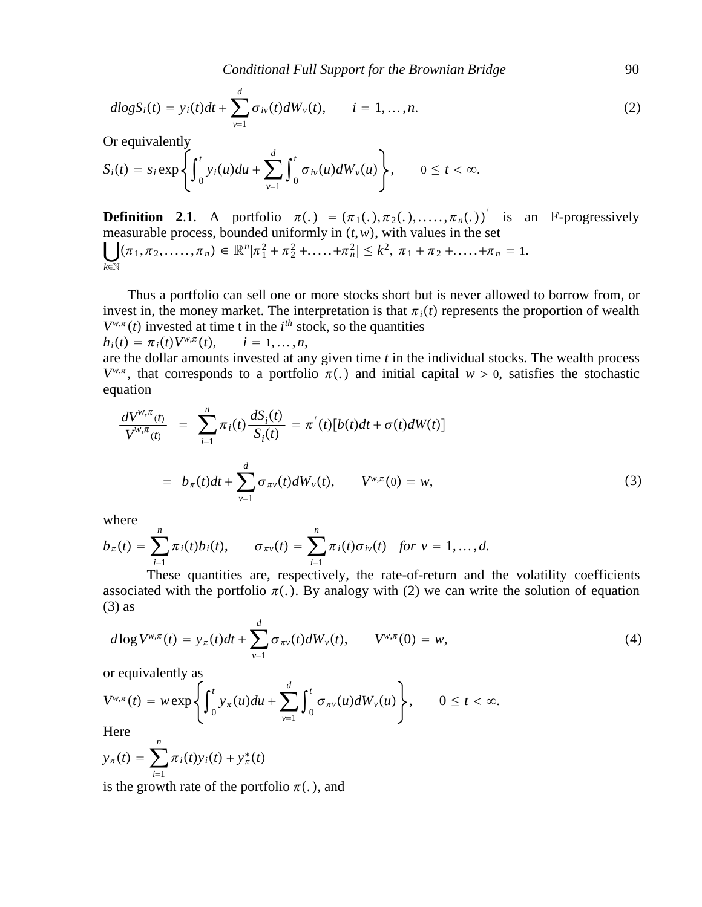$$
dlogS_i(t) = y_i(t)dt + \sum_{\nu=1}^d \sigma_{i\nu}(t)dW_{\nu}(t), \qquad i = 1,...,n.
$$
 (2)

Or equivalently

$$
S_i(t) = s_i \exp\left\{\int_0^t y_i(u) du + \sum_{\nu=1}^d \int_0^t \sigma_{i\nu}(u) dW_{\nu}(u)\right\}, \qquad 0 \leq t < \infty.
$$

**Definition 2.1.** A portfolio  $\pi(.) = (\pi_1(.), \pi_2(.), \ldots, \pi_n(.))$  is an F-progressively measurable process, bounded uniformly in  $(t, w)$ , with values in the set  $\bigcup (\pi_1, \pi_2, \ldots, \pi_n) \in \mathbb{R}^n | \pi_1^2 + \pi_2^2 + \ldots + \pi_n^2 | \leq k^2, \pi_1 + \pi_2 + \ldots + \pi_n = 1.$ *k*∈N

Thus a portfolio can sell one or more stocks short but is never allowed to borrow from, or invest in, the money market. The interpretation is that  $\pi_i(t)$  represents the proportion of wealth  $V^{w,\pi}(t)$  invested at time t in the  $i^{th}$  stock, so the quantities  $h_i(t) = \pi_i(t) V^{w,\pi}(t), \quad i = 1, \ldots, n,$ 

are the dollar amounts invested at any given time *t* in the individual stocks. The wealth process  $V^{w,\pi}$ , that corresponds to a portfolio  $\pi(.)$  and initial capital  $w > 0$ , satisfies the stochastic equation

$$
\frac{dV^{w,\pi}(t)}{V^{w,\pi}(t)} = \sum_{i=1}^{n} \pi_i(t) \frac{dS_i(t)}{S_i(t)} = \pi'(t)[b(t)dt + \sigma(t)dW(t)]
$$
  

$$
= b_{\pi}(t)dt + \sum_{\nu=1}^{d} \sigma_{\pi\nu}(t)dW_{\nu}(t), \qquad V^{w,\pi}(0) = w,
$$
 (3)

where

$$
b_{\pi}(t) = \sum_{i=1}^{n} \pi_i(t) b_i(t), \qquad \sigma_{\pi\nu}(t) = \sum_{i=1}^{n} \pi_i(t) \sigma_{i\nu}(t) \quad \text{for } \nu = 1, \ldots, d.
$$

These quantities are, respectively, the rate-of-return and the volatility coefficients associated with the portfolio  $\pi(.)$ . By analogy with (2) we can write the solution of equation  $(3)$  as

$$
d\log V^{w,\pi}(t) = y_{\pi}(t)dt + \sum_{\nu=1}^{d} \sigma_{\pi\nu}(t)dW_{\nu}(t), \qquad V^{w,\pi}(0) = w,
$$
\n(4)

or equivalently as

$$
V^{w,\pi}(t) = w \exp\left\{\int_0^t y_\pi(u) du + \sum_{\nu=1}^d \int_0^t \sigma_{\pi\nu}(u) dW_\nu(u)\right\}, \qquad 0 \le t < \infty.
$$

Here

$$
y_{\pi}(t) = \sum_{i=1}^{n} \pi_i(t) y_i(t) + y_{\pi}^*(t)
$$

is the growth rate of the portfolio  $\pi(.)$ , and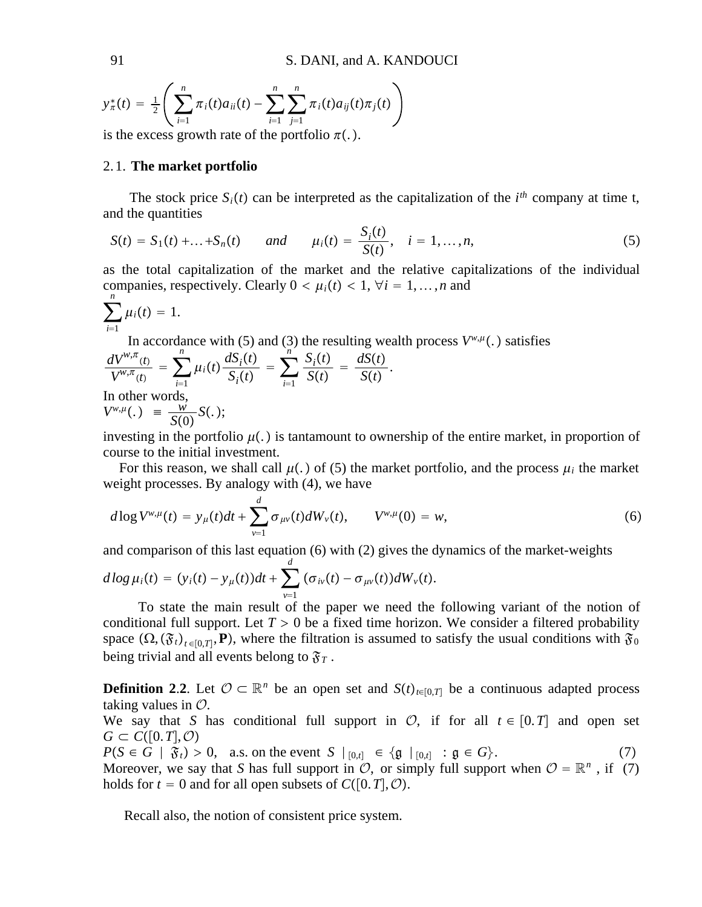$$
y_{\pi}^*(t) = \frac{1}{2} \left( \sum_{i=1}^n \pi_i(t) a_{ii}(t) - \sum_{i=1}^n \sum_{j=1}^n \pi_i(t) a_{ij}(t) \pi_j(t) \right)
$$
is the process growth rate of the particle  $\pi(t)$ .

is the excess growth rate of the portfolio  $\pi(.)$ .

#### 2. 1. **The market portfolio**

The stock price  $S_i(t)$  can be interpreted as the capitalization of the  $i^{th}$  company at time t, and the quantities

$$
S(t) = S_1(t) + ... + S_n(t) \qquad and \qquad \mu_i(t) = \frac{S_i(t)}{S(t)}, \quad i = 1, ..., n,
$$
 (5)

as the total capitalization of the market and the relative capitalizations of the individual companies, respectively. Clearly  $0 < \mu_i(t) < 1$ ,  $\forall i = 1, \ldots, n$  and *n*

$$
\sum_{i=1}\mu_i(t)=1.
$$

In accordance with (5) and (3) the resulting wealth process  $V^{w,\mu}$ . satisfies

$$
\frac{dV^{w,\pi}(t)}{V^{w,\pi}(t)} = \sum_{i=1}^{n} \mu_i(t) \frac{dS_i(t)}{S_i(t)} = \sum_{i=1}^{n'} \frac{S_i(t)}{S(t)} = \frac{dS(t)}{S(t)}.
$$
  
In other words,  

$$
V^{w,\mu}(.) = \frac{w}{S(0)} S(.);
$$

investing in the portfolio  $\mu(.)$  is tantamount to ownership of the entire market, in proportion of course to the initial investment.

For this reason, we shall call  $\mu(.)$  of (5) the market portfolio, and the process  $\mu_i$  the market weight processes. By analogy with (4), we have

$$
d\log V^{w,\mu}(t) = y_{\mu}(t)dt + \sum_{\nu=1}^{d} \sigma_{\mu\nu}(t)dW_{\nu}(t), \qquad V^{w,\mu}(0) = w,
$$
\n(6)

and comparison of this last equation (6) with (2) gives the dynamics of the market-weights

$$
d\log\mu_i(t)=(y_i(t)-y_{\mu}(t))dt+\sum_{\nu=1}^d(\sigma_{i\nu}(t)-\sigma_{\mu\nu}(t))dW_{\nu}(t).
$$

To state the main result of the paper we need the following variant of the notion of conditional full support. Let  $T > 0$  be a fixed time horizon. We consider a filtered probability space  $(\Omega, (\mathfrak{F}_t)_{t \in [0,T]}, \mathbf{P})$ , where the filtration is assumed to satisfy the usual conditions with  $\mathfrak{F}_0$ being trivial and all events belong to  $\mathfrak{F}_T$ .

**Definition 2.2.** Let  $\mathcal{O} \subset \mathbb{R}^n$  be an open set and *S*(*t*)<sub>*t*∈[0,*T*] be a continuous adapted process</sub> taking values in  $\mathcal{O}$ .

We say that *S* has conditional full support in  $\mathcal{O}$ , if for all  $t \in [0, T]$  and open set  $G \subset C([0,T],\mathcal{O})$ 

 $P(S \in G | \mathfrak{F}_t) > 0$ , a.s. on the event *S*  $|_{[0,t]} \in {\mathfrak{g}} |_{[0,t]} : \mathfrak{g} \in G$ . (7) Moreover, we say that *S* has full support in  $\mathcal{O}$ , or simply full support when  $\mathcal{O} = \mathbb{R}^n$ , if (7) holds for  $t = 0$  and for all open subsets of  $C([0, T], \mathcal{O})$ .

Recall also, the notion of consistent price system.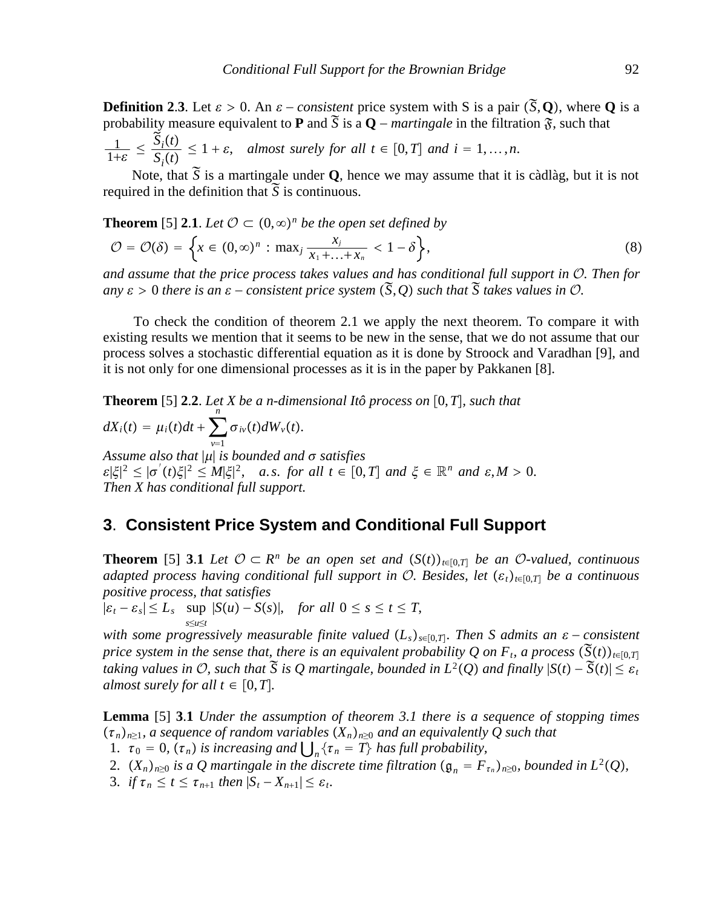**Definition 2.3.** Let  $\varepsilon > 0$ . An  $\varepsilon$  – *consistent* price system with S is a pair (  $\approx$ *S*,**Q**, where **Q** is a **Definition** 2.5. Let  $\varepsilon > 0$ . An  $\varepsilon$  − *consistent* price system with S is a pair (5, Q), where  $\zeta$  probability measure equivalent to **P** and  $\tilde{S}$  is a Q – *martingale* in the filtration  $\tilde{S}$ , such that  $\frac{1}{1+\varepsilon} \leq$  $S_i(t)$  $S_i(t) \leq 1 + \varepsilon$ , *almost surely for all*  $t \in [0, T]$  *and*  $i = 1, ..., n$ .

Note, that  $\tilde{S}$  is a martingale under **Q**, hence we may assume that it is càdlàg, but it is not required in the definition that  $\tilde{S}$  is continuous.

**Theorem** [5] **2.1**. *Let*  $\mathcal{O} \subset (0, \infty)^n$  *be the open set defined by* 

$$
\mathcal{O} = \mathcal{O}(\delta) = \left\{ x \in (0,\infty)^n : \max_j \frac{x_j}{x_1 + \ldots + x_n} < 1 - \delta \right\},\tag{8}
$$

*and assume that the price process takes values and has conditional full support in* O*. Then for*  $any \varepsilon > 0$  *there is an*  $\varepsilon$  – *consistent price system* ( *<sup>S</sup>*,*Q such that S takes values in* O*.*

To check the condition of theorem 2.1 we apply the next theorem. To compare it with existing results we mention that it seems to be new in the sense, that we do not assume that our process solves a stochastic differential equation as it is done by Stroock and Varadhan [9], and it is not only for one dimensional processes as it is in the paper by Pakkanen [8].

**Theorem** [5] **2.2**. Let *X* be a *n*-dimensional Itô process on [0, T], such that  $dX_i(t) = \mu_i(t)dt + \sum$ *v*=1 *n*  $\sigma_{iv}(t)dW_{v}(t)$ . Assume also that  $|\mu|$  is bounded and  $\sigma$  satisfies  $\mathcal{E}|\xi|^2 \leq |\sigma'(t)\xi|^2 \leq M|\xi|^2$ , *a.s. for all*  $t \in [0,T]$  *and*  $\xi \in \mathbb{R}^n$  *and*  $\varepsilon, M > 0$ . *Then X has conditional full support.*

## **3**. **Consistent Price System and Conditional Full Support**

**Theorem** [5] **3.1** *Let*  $O \subset R^n$  *be an open set and*  $(S(t))_{t \in [0,T]}$  *be an O-valued, continuous adapted process having conditional full support in*  $\mathcal{O}$ . Besides, let  $(\varepsilon_t)_{t \in [0,T]}$  be a continuous *positive process, that satisfies*

 $|\varepsilon_t - \varepsilon_s| \le L_s$  sup  $|S(u) - S(s)|$ , *for all*  $0 \le s \le t \le T$ , *s*≤*u*≤*t*

*with some progressively measurable finite valued*  $(L_s)_{s \in [0,T]}$ *. Then S admits an ε* − *consistent*  $\widetilde{K}(s)$ *price system in the sense that, there is an equivalent probability Q on F<sub>t</sub>, a process*  $(\tilde{S}(t))_{t\in[0,T]}$ *taking values in*  $\mathcal{O}$ , such that  $\tilde{S}$  is Q martingale, bounded in  $L^2(Q)$  and finally  $|S(t) - \tilde{S}(t)| \leq \varepsilon_t$ <br>taking values in  $\mathcal{O}$ , such that  $\tilde{S}$  is Q martingale, bounded in  $L^2(Q)$  and finally  $|S(t) - \$ *almost surely for all*  $t \in [0, T]$ .

**Lemma** [5] **3**.**1** *Under the assumption of theorem 3.1 there is a sequence of stopping times*  $(\tau_n)_{n\geq 1}$ , a sequence of random variables  $(X_n)_{n\geq 0}$  and an equivalently Q such that

1.  $\tau_0 = 0$ ,  $(\tau_n)$  *is increasing and*  $\bigcup_{n} {\tau_n = T}$  *has full probability,* 

2.  $(X_n)_{n\geq 0}$  *is a Q martingale in the discrete time filtration*  $(\mathfrak{g}_n = F_{\tau_n})_{n\geq 0}$ *, bounded in*  $L^2(Q)$ *,* 

3. *if*  $\tau_n \leq t \leq \tau_{n+1}$  *then*  $|S_t - X_{n+1}| \leq \varepsilon_t$ .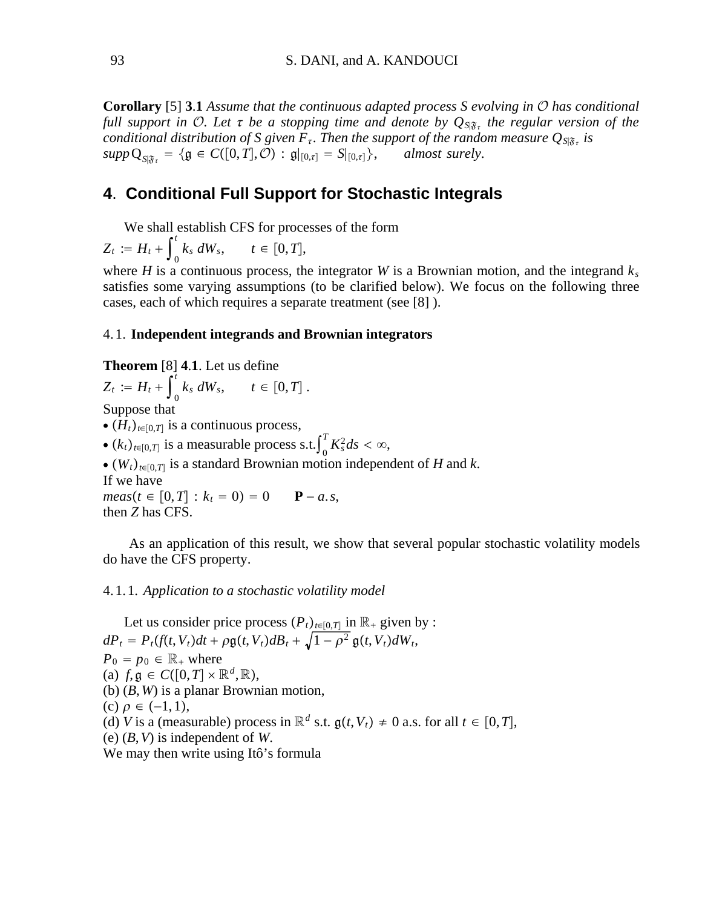**Corollary** [5] **3**.**1** *Assume that the continuous adapted process S evolving in* O *has conditional full support in O. Let*  $\tau$  *be a stopping time and denote by*  $Q_{S|\mathfrak{F}_\tau}$  *the regular version of the conditional distribution of S given F<sub><i>t*</sub>. Then the support of the random measure  $Q_{S|\mathfrak{F}_t}$  is  $supp \mathbf{Q}_{S|\mathcal{F}_r} = \{ \mathfrak{g} \in C([0,T],\mathcal{O}) : \mathfrak{g}|_{[0,\tau]} = S|_{[0,\tau]} \},$  almost surely.

## **4**. **Conditional Full Support for Stochastic Integrals**

We shall establish CFS for processes of the form

 $Z_t := H_t + \int_0^t$ *t*  $t \in [0, T],$ 

where *H* is a continuous process, the integrator *W* is a Brownian motion, and the integrand  $k_s$ satisfies some varying assumptions (to be clarified below). We focus on the following three cases, each of which requires a separate treatment (see [8] ).

#### 4. 1. **Independent integrands and Brownian integrators**

# **Theorem**  $[8]$  **4.1**. Let us define

$$
Z_t := H_t + \int_0^t k_s dW_s, \qquad t \in [0,T].
$$

Suppose that

- $\bullet$   $(H_t)_{t \in [0,T]}$  is a continuous process,
- $(k_t)_{t \in [0,T]}$  is a measurable process s.t.  $\int_0^T$  $\int_{0}^{T} K_s^2 ds < \infty$ ,
- ∙ *Wt<sup>t</sup>*∈0,*T* is a standard Brownian motion independent of *H* and *k*.

If we have

 $meas(t \in [0, T] : k_t = 0) = 0$  **P** − *a*.*s*, then *Z* has CFS.

As an application of this result, we show that several popular stochastic volatility models do have the CFS property.

#### 4. 1. 1. *Application to a stochastic volatility model*

Let us consider price process  $(P_t)_{t \in [0,T]}$  in  $\mathbb{R}_+$  given by :  $dP_t = P_t(f(t, V_t)dt + \rho g(t, V_t)dB_t + \sqrt{1 - \rho^2} g(t, V_t)dW_t$  $P_0 = p_0 \in \mathbb{R}_+$  where (a)  $f, \mathfrak{g} \in C([0,T] \times \mathbb{R}^d, \mathbb{R}),$ (b) (*B*,*W*) is a planar Brownian motion, (c)  $\rho \in (-1,1)$ , (d) *V* is a (measurable) process in  $\mathbb{R}^d$  s.t.  $g(t, V_t) \neq 0$  a.s. for all  $t \in [0, T]$ , (e) (*B*,*V*) is independent of *W*. We may then write using Itô's formula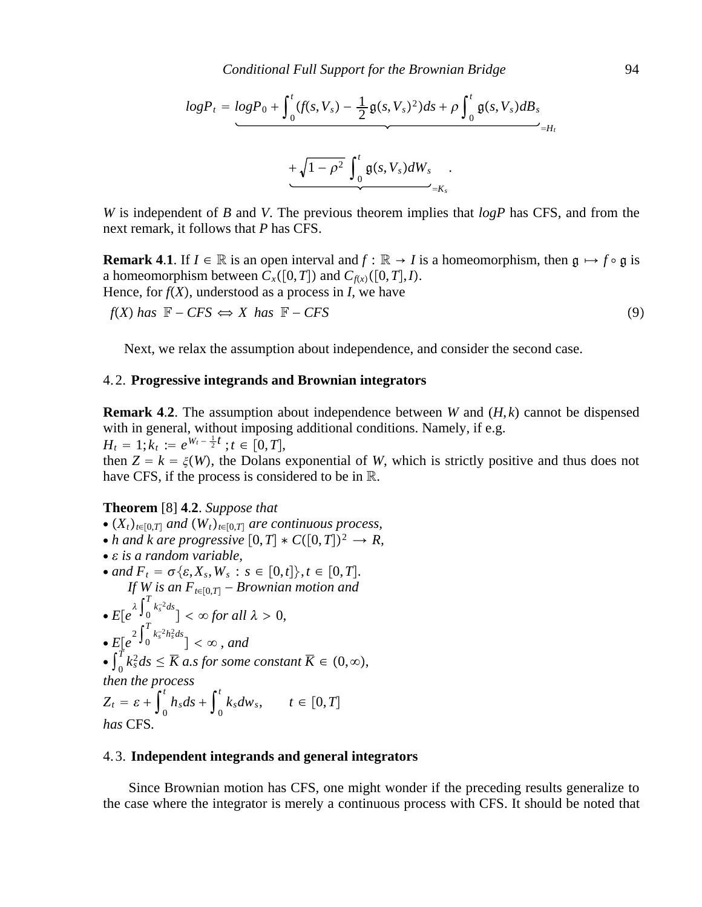$$
logP_t = logP_0 + \int_0^t (f(s, V_s) - \frac{1}{2} \mathfrak{g}(s, V_s)^2) ds + \rho \int_0^t \mathfrak{g}(s, V_s) dB_s
$$
  
+ 
$$
\sqrt{1 - \rho^2} \int_0^t \mathfrak{g}(s, V_s) dW_s
$$

*W* is independent of *B* and *V*. The previous theorem implies that *logP* has CFS, and from the next remark, it follows that *P* has CFS.

**Remark 4.1.** If  $I \in \mathbb{R}$  is an open interval and  $f : \mathbb{R} \to I$  is a homeomorphism, then  $g \mapsto f \circ g$  is a homeomorphism between  $C_x([0,T])$  and  $C_{f(x)}([0,T], I)$ . Hence, for  $f(X)$ , understood as a process in *I*, we have  $f(X)$  *has*  $\mathbb{F} - CFS \Leftrightarrow X$  *has*  $\mathbb{F} - CFS$  (9)

Next, we relax the assumption about independence, and consider the second case.

#### 4. 2. **Progressive integrands and Brownian integrators**

**Remark 4**.**2**. The assumption about independence between *W* and (*H*, *k*) cannot be dispensed with in general, without imposing additional conditions. Namely, if e.g.  $H_t = 1; k_t := e^{W_t - \frac{1}{2}t}$ ;  $t \in [0, T]$ , then  $Z = k = \xi(W)$ , the Dolans exponential of *W*, which is strictly positive and thus does not have CFS, if the process is considered to be in R.

#### **Theorem** [8] **4**.**2**. *Suppose that*

- $\bullet$   $(X_t)_{t \in [0,T]}$  *and*  $(W_t)_{t \in [0,T]}$  *are continuous process,*
- *h* and *k* are progressive  $[0, T] * C([0, T])^2 \rightarrow R$ ,
- ∙ *is a random variable,*
- $\bullet$  *and*  $F_t = \sigma \{ \varepsilon, X_s, W_s : s \in [0, t] \}, t \in [0, T].$ *If W* is an  $F_{t \in [0,T]}$  – *Brownian motion and*  $\cdot E[e^{\lambda \int_0^I}$  $\left[\frac{1}{2}k_s^{-2}ds\right]<\infty$  for all  $\lambda>0$ , ∙  $E[e^{2\int_0^t}$  $\int_{0}^{T} k_{s}^{-2} h_{s}^{2} ds$ <sub>1</sub> <  $\infty$  , and  $\bullet$   $\int_0^I$  $\int_{0}^{T} k_{s}^{2} ds \leq \overline{K}$  *a.s for some constant*  $\overline{K} \in (0, \infty)$ , *then the process*  $Z_t = \varepsilon + \int_0^t$  $\int_0^t h_s ds + \int_0^t$  $\int_{t}^{t} k_{s}dw_{s}, \qquad t \in [0,T]$ *has* CFS*.*

#### 4. 3. **Independent integrands and general integrators**

Since Brownian motion has CFS, one might wonder if the preceding results generalize to the case where the integrator is merely a continuous process with CFS. It should be noted that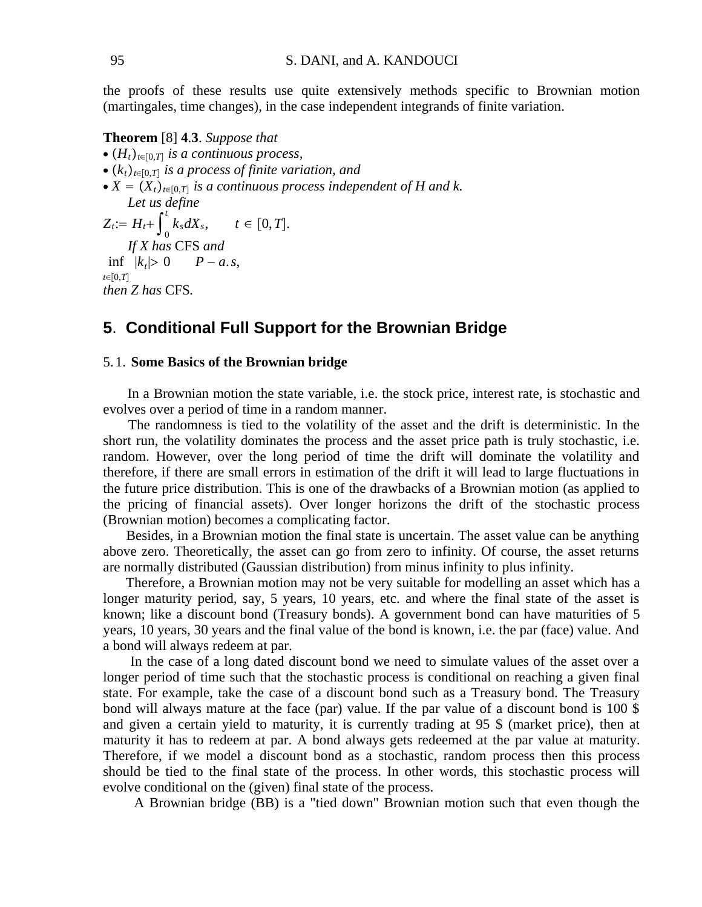the proofs of these results use quite extensively methods specific to Brownian motion (martingales, time changes), in the case independent integrands of finite variation.

**Theorem** [8] **4**.**3**. *Suppose that*

- ∙ *Ht<sup>t</sup>*∈0,*T is a continuous process,*
- ∙ *kt<sup>t</sup>*∈0,*T is a process of finite variation, and*
- $\bullet X = (X_t)_{t \in [0,T]}$  *is a continuous process independent of H and k. Let us define*

 $Z_t := H_t + \int_0^t$  $\int_{t}^{t} k_{s} dX_{s}, \qquad t \in [0, T].$ *If X has* CFS *and t*∈[0,*T*]  $\inf$   $|k_t| > 0$  *P − a.s. then Z has* CFS*.*

## **5**. **Conditional Full Support for the Brownian Bridge**

#### 5. 1. **Some Basics of the Brownian bridge**

In a Brownian motion the state variable, i.e. the stock price, interest rate, is stochastic and evolves over a period of time in a random manner.

The randomness is tied to the volatility of the asset and the drift is deterministic. In the short run, the volatility dominates the process and the asset price path is truly stochastic, i.e. random. However, over the long period of time the drift will dominate the volatility and therefore, if there are small errors in estimation of the drift it will lead to large fluctuations in the future price distribution. This is one of the drawbacks of a Brownian motion (as applied to the pricing of financial assets). Over longer horizons the drift of the stochastic process (Brownian motion) becomes a complicating factor.

Besides, in a Brownian motion the final state is uncertain. The asset value can be anything above zero. Theoretically, the asset can go from zero to infinity. Of course, the asset returns are normally distributed (Gaussian distribution) from minus infinity to plus infinity.

Therefore, a Brownian motion may not be very suitable for modelling an asset which has a longer maturity period, say, 5 years, 10 years, etc. and where the final state of the asset is known; like a discount bond (Treasury bonds). A government bond can have maturities of 5 years, 10 years, 30 years and the final value of the bond is known, i.e. the par (face) value. And a bond will always redeem at par.

In the case of a long dated discount bond we need to simulate values of the asset over a longer period of time such that the stochastic process is conditional on reaching a given final state. For example, take the case of a discount bond such as a Treasury bond. The Treasury bond will always mature at the face (par) value. If the par value of a discount bond is 100 \$ and given a certain yield to maturity, it is currently trading at 95 \$ (market price), then at maturity it has to redeem at par. A bond always gets redeemed at the par value at maturity. Therefore, if we model a discount bond as a stochastic, random process then this process should be tied to the final state of the process. In other words, this stochastic process will evolve conditional on the (given) final state of the process.

A Brownian bridge (BB) is a "tied down" Brownian motion such that even though the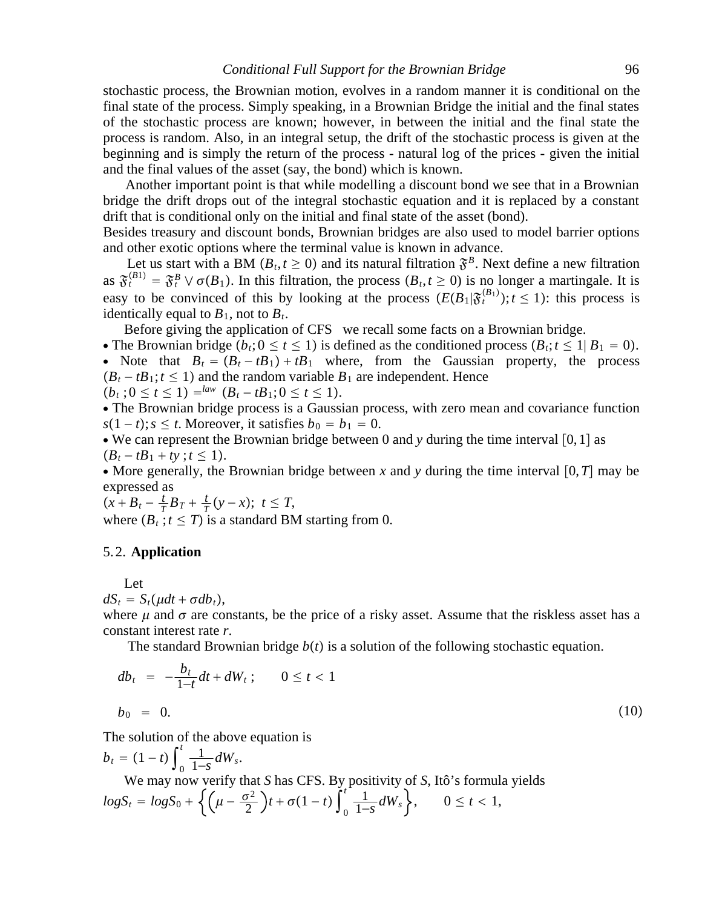stochastic process, the Brownian motion, evolves in a random manner it is conditional on the final state of the process. Simply speaking, in a Brownian Bridge the initial and the final states of the stochastic process are known; however, in between the initial and the final state the process is random. Also, in an integral setup, the drift of the stochastic process is given at the beginning and is simply the return of the process - natural log of the prices - given the initial and the final values of the asset (say, the bond) which is known.

Another important point is that while modelling a discount bond we see that in a Brownian bridge the drift drops out of the integral stochastic equation and it is replaced by a constant drift that is conditional only on the initial and final state of the asset (bond).

Besides treasury and discount bonds, Brownian bridges are also used to model barrier options and other exotic options where the terminal value is known in advance.

Let us start with a BM  $(B_t, t \ge 0)$  and its natural filtration  $\mathfrak{F}^B$ . Next define a new filtration as  $\mathfrak{F}_t^{(B1)} = \mathfrak{F}_t^B \vee \sigma(B_1)$ . In this filtration, the process  $(B_t, t \ge 0)$  is no longer a martingale. It is easy to be convinced of this by looking at the process  $(E(B_1|\mathfrak{F}^{(B_1)}_t); t \leq 1)$ : this process is identically equal to  $B_1$ , not to  $B_t$ .

Before giving the application of CFS we recall some facts on a Brownian bridge.

• The Brownian bridge  $(b_t; 0 \le t \le 1)$  is defined as the conditioned process  $(B_t; t \le 1 | B_1 = 0)$ . • Note that  $B_t = (B_t - tB_1) + tB_1$  where, from the Gaussian property, the process  $(B<sub>t</sub> - tB<sub>1</sub>; t \le 1)$  and the random variable  $B<sub>1</sub>$  are independent. Hence

$$
(b_t; 0 \le t \le 1) =law (B_t - tB_1; 0 \le t \le 1).
$$

∙ The Brownian bridge process is a Gaussian process, with zero mean and covariance function  $s(1-t); s \leq t$ . Moreover, it satisfies  $b_0 = b_1 = 0$ .

• We can represent the Brownian bridge between 0 and  $y$  during the time interval [0, 1] as  $(B_t - tB_1 + ty; t \le 1).$ 

• More generally, the Brownian bridge between x and y during the time interval [0,*T*] may be expressed as

$$
(x+B_t - \frac{t}{T}B_T + \frac{t}{T}(y-x)); t \leq T
$$
,  
where  $(B_t; t \leq T)$  is a standard BM starting from 0.

#### 5. 2. **Application**

Let

 $dS_t = S_t(\mu dt + \sigma db_t),$ 

where  $\mu$  and  $\sigma$  are constants, be the price of a risky asset. Assume that the riskless asset has a constant interest rate *r*.

The standard Brownian bridge  $b(t)$  is a solution of the following stochastic equation.

$$
db_t = -\frac{b_t}{1-t}dt + dW_t; \qquad 0 \le t < 1
$$
  

$$
b_0 = 0.
$$
 (10)

The solution of the above equation is

$$
b_t = (1 - t) \int_0^t \frac{1}{1 - s} dW_s.
$$
  
We may now verify that *S* has CFS. By positivity of *S*, Itô's formula yields  

$$
logS_t = logS_0 + \left\{ \left( \mu - \frac{\sigma^2}{2} \right) t + \sigma (1 - t) \int_0^t \frac{1}{1 - s} dW_s \right\}, \qquad 0 \le t < 1,
$$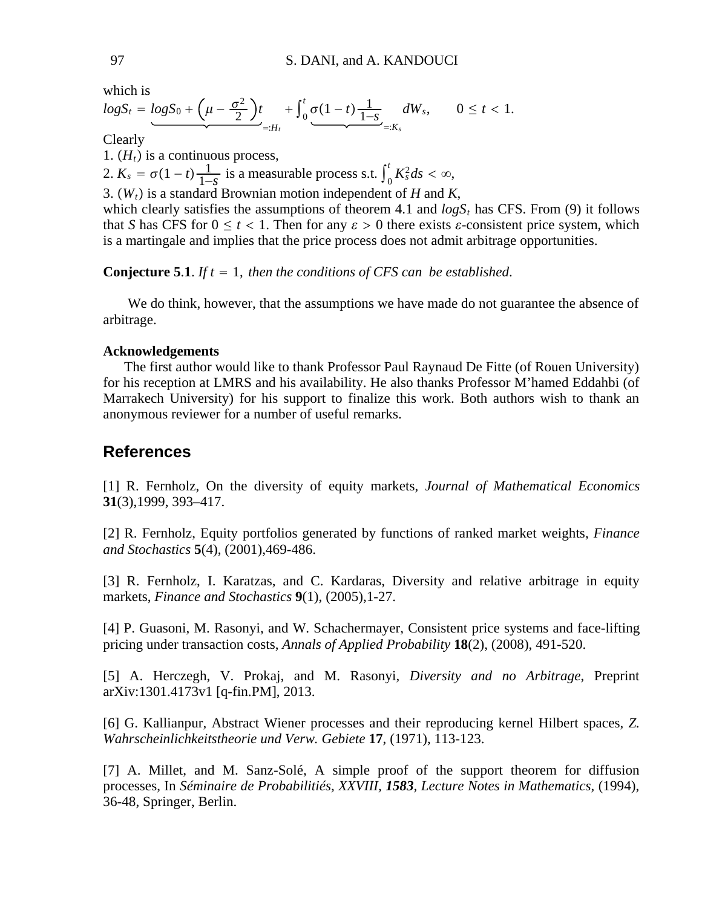which is

$$
logS_t = logS_0 + \left(\mu - \frac{\sigma^2}{2}\right)t_{=:H_t} + \int_0^t \underbrace{\sigma(1-t) \frac{1}{1-s}}_{=:K_s} dW_s, \qquad 0 \leq t < 1.
$$

Clearly

1.  $(H_t)$  is a continuous process, 2.  $K_s = \sigma(1-t) \frac{1}{1-s}$  is a measurable process s.t.  $\int_0^t$  $\int_{0}^{t} K_s^2 ds < \infty$ , 3.  $(W_t)$  is a standard Brownian motion independent of *H* and *K*, which clearly satisfies the assumptions of theorem 4.1 and  $logS_t$  has CFS. From (9) it follows

that *S* has CFS for  $0 \le t < 1$ . Then for any  $\varepsilon > 0$  there exists  $\varepsilon$ -consistent price system, which is a martingale and implies that the price process does not admit arbitrage opportunities.

### **Conjecture 5.1.** *If t* = 1, *then the conditions of CFS can be established.*

We do think, however, that the assumptions we have made do not guarantee the absence of arbitrage.

### **Acknowledgements**

The first author would like to thank Professor Paul Raynaud De Fitte (of Rouen University) for his reception at LMRS and his availability. He also thanks Professor M'hamed Eddahbi (of Marrakech University) for his support to finalize this work. Both authors wish to thank an anonymous reviewer for a number of useful remarks.

## **References**

[1] R. Fernholz, On the diversity of equity markets, *Journal of Mathematical Economics* **31**(3),1999, 393–417.

[2] R. Fernholz, Equity portfolios generated by functions of ranked market weights, *Finance and Stochastics* **5**(4), (2001),469-486.

[3] R. Fernholz, I. Karatzas, and C. Kardaras, Diversity and relative arbitrage in equity markets, *Finance and Stochastics* **9**(1), (2005),1-27.

[4] P. Guasoni, M. Rasonyi, and W. Schachermayer, Consistent price systems and face-lifting pricing under transaction costs, *Annals of Applied Probability* **18**(2), (2008), 491-520.

[5] A. Herczegh, V. Prokaj, and M. Rasonyi, *Diversity and no Arbitrage*, Preprint arXiv:1301.4173v1 [q-fin.PM], 2013.

[6] G. Kallianpur, Abstract Wiener processes and their reproducing kernel Hilbert spaces, *Z. Wahrscheinlichkeitstheorie und Verw. Gebiete* **17**, (1971), 113-123.

[7] A. Millet, and M. Sanz-Solé, A simple proof of the support theorem for diffusion processes, In *Séminaire de Probabilitiés, XXVIII, 1583, Lecture Notes in Mathematics*, (1994), 36-48, Springer, Berlin.